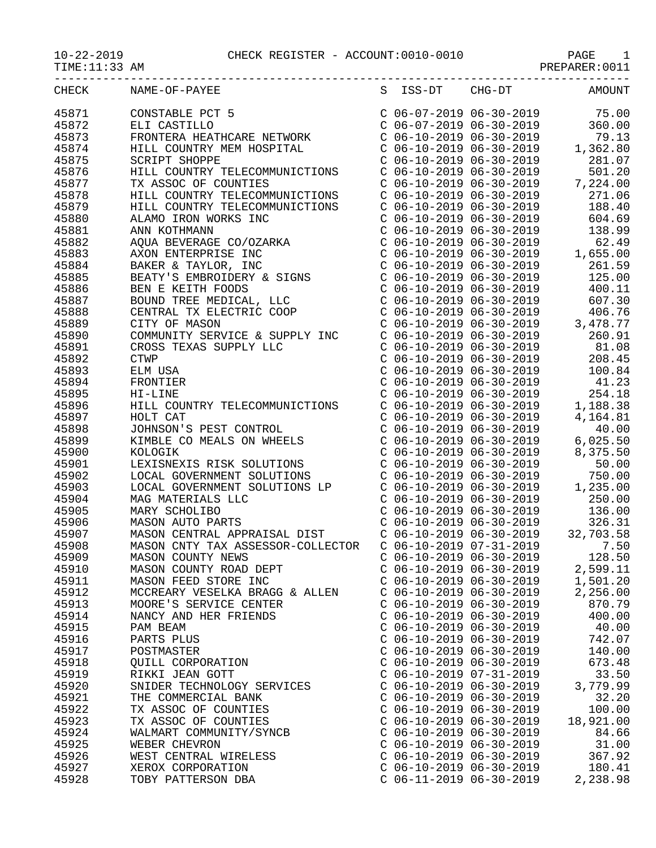| CHECK | NAME-OF-PAYEE                                                                                                                                                                                                                                             |                           |                                                                                                                                                                                                                                                                                                                                   | S ISS-DT CHG-DT AMOUNT                                                                                                   |
|-------|-----------------------------------------------------------------------------------------------------------------------------------------------------------------------------------------------------------------------------------------------------------|---------------------------|-----------------------------------------------------------------------------------------------------------------------------------------------------------------------------------------------------------------------------------------------------------------------------------------------------------------------------------|--------------------------------------------------------------------------------------------------------------------------|
| 45871 | CONSTABLE PCT 5<br>CONSTABLE PCT 5<br>ELI CASTILLO<br>FRONTERA HEATHCARE NETWORK<br>FRONTERA HEATHCARE NETWORK<br>CO6-07-2019 06-30-2019<br>CO6-10-2019 06-30-2019<br>CO6-10-2019 06-30-2019<br>CO6-10-2019 06-30-2019<br>CO6-10-2019 06-30-2019          |                           |                                                                                                                                                                                                                                                                                                                                   |                                                                                                                          |
| 45872 |                                                                                                                                                                                                                                                           |                           |                                                                                                                                                                                                                                                                                                                                   |                                                                                                                          |
| 45873 |                                                                                                                                                                                                                                                           |                           |                                                                                                                                                                                                                                                                                                                                   |                                                                                                                          |
| 45874 |                                                                                                                                                                                                                                                           |                           |                                                                                                                                                                                                                                                                                                                                   |                                                                                                                          |
| 45875 |                                                                                                                                                                                                                                                           |                           |                                                                                                                                                                                                                                                                                                                                   | C 06-10-2019 06-30-2019 281.07<br>C 06-10-2019 06-30-2019 501.20<br>C 06-10-2019 06-30-2019 7,224.00                     |
| 45876 | HILL COUNTRY TELECOMMUNICTIONS                                                                                                                                                                                                                            |                           |                                                                                                                                                                                                                                                                                                                                   |                                                                                                                          |
| 45877 | TX ASSOC OF COUNTIES                                                                                                                                                                                                                                      |                           |                                                                                                                                                                                                                                                                                                                                   |                                                                                                                          |
| 45878 | HILL COUNTRY TELECOMMUNICTIONS                                                                                                                                                                                                                            |                           |                                                                                                                                                                                                                                                                                                                                   | C 06-10-2019 06-30-2019 271.06                                                                                           |
| 45879 | HILL COUNTRY TELECOMMUNICTIONS                                                                                                                                                                                                                            |                           | $C$ 06-10-2019 06-30-2019                                                                                                                                                                                                                                                                                                         | 188.40                                                                                                                   |
| 45880 |                                                                                                                                                                                                                                                           |                           | C 06-10-2019 06-30-2019<br>C 06-10-2019 06-30-2019                                                                                                                                                                                                                                                                                | 604.69                                                                                                                   |
| 45881 | HILL COUNIRI IELECUMMONICIIONS<br>ALAMO IRON WORKS INC<br>ANN KOTHMANN<br>AQUA BEVERAGE CO/OZARKA<br>AXON ENTERPRISE INC<br>BAKER & TAYLOR, INC<br>BEATY'S EMBROIDERY & SIGNS<br>BEN E KEITH FOODS<br>BOUND TREE MEDICAL, LLC<br>CENTRAL TX ELECTRIC COOP |                           |                                                                                                                                                                                                                                                                                                                                   | 138.99                                                                                                                   |
| 45882 |                                                                                                                                                                                                                                                           |                           | $C$ 06-10-2019 06-30-2019                                                                                                                                                                                                                                                                                                         | 62.49                                                                                                                    |
| 45883 |                                                                                                                                                                                                                                                           |                           |                                                                                                                                                                                                                                                                                                                                   | $C$ 06-10-2019 06-30-2019 1,655.00                                                                                       |
| 45884 |                                                                                                                                                                                                                                                           |                           |                                                                                                                                                                                                                                                                                                                                   | $C$ 06-10-2019 06-30-2019 261.59                                                                                         |
| 45885 |                                                                                                                                                                                                                                                           |                           | $\begin{array}{cccc} \text{C} & 06-10-2019 & 06-30-2019 \\ \text{C} & 06-10-2019 & 06-30-2019 \\ \text{C} & 06-10-2019 & 06-30-2019 \end{array}$                                                                                                                                                                                  | 125.00                                                                                                                   |
| 45886 |                                                                                                                                                                                                                                                           |                           |                                                                                                                                                                                                                                                                                                                                   | 400.11                                                                                                                   |
| 45887 |                                                                                                                                                                                                                                                           |                           |                                                                                                                                                                                                                                                                                                                                   | 607.30                                                                                                                   |
| 45888 |                                                                                                                                                                                                                                                           |                           |                                                                                                                                                                                                                                                                                                                                   | $C$ $06-10-2019$ $06-30-2019$ $06-30+2019$ $06-30+2019$ $06-30-2019$ $06-30-2019$ $06-30-2019$ $06-30-2019$ $06-30-2019$ |
| 45889 |                                                                                                                                                                                                                                                           |                           |                                                                                                                                                                                                                                                                                                                                   |                                                                                                                          |
| 45890 | COMMUNITY SERVICE & SUPPLY INC                                                                                                                                                                                                                            |                           | $C$ 06-10-2019 06-30-2019                                                                                                                                                                                                                                                                                                         | 260.91                                                                                                                   |
| 45891 | CROSS TEXAS SUPPLY LLC                                                                                                                                                                                                                                    |                           |                                                                                                                                                                                                                                                                                                                                   | 81.08                                                                                                                    |
| 45892 | <b>CTWP</b>                                                                                                                                                                                                                                               |                           | C 06-10-2019 06-30-2019<br>C 06-10-2019 06-30-2019                                                                                                                                                                                                                                                                                | 208.45                                                                                                                   |
| 45893 | ELM USA                                                                                                                                                                                                                                                   |                           | $C$ 06-10-2019 06-30-2019                                                                                                                                                                                                                                                                                                         | 100.84                                                                                                                   |
| 45894 | FRONTIER                                                                                                                                                                                                                                                  |                           |                                                                                                                                                                                                                                                                                                                                   | $C$ 06-10-2019 06-30-2019 41.23                                                                                          |
| 45895 | HI-LINE                                                                                                                                                                                                                                                   |                           | $C$ 06-10-2019 06-30-2019                                                                                                                                                                                                                                                                                                         | 254.18                                                                                                                   |
| 45896 | HILL COUNTRY TELECOMMUNICTIONS                                                                                                                                                                                                                            |                           | C 06-10-2019 06-30-2019<br>C 06-10-2019 06-30-2019<br>C 06-10-2019 06-30-2019                                                                                                                                                                                                                                                     | 1,188.38                                                                                                                 |
| 45897 |                                                                                                                                                                                                                                                           |                           |                                                                                                                                                                                                                                                                                                                                   | 4,164.81                                                                                                                 |
| 45898 |                                                                                                                                                                                                                                                           |                           |                                                                                                                                                                                                                                                                                                                                   | 40.00                                                                                                                    |
| 45899 | JOHNSON'S PEST CONTROL<br>KIMBLE CO MEALS ON WILL<br>KIMBLE CO MEALS ON WHEELS                                                                                                                                                                            |                           | $C$ 06-10-2019 06-30-2019                                                                                                                                                                                                                                                                                                         | 6,025.50                                                                                                                 |
| 45900 | KOLOGIK                                                                                                                                                                                                                                                   |                           | $C$ 06-10-2019 06-30-2019                                                                                                                                                                                                                                                                                                         | 8,375.50                                                                                                                 |
| 45901 | LEXISNEXIS RISK SOLUTIONS                                                                                                                                                                                                                                 |                           | $C$ 06-10-2019 06-30-2019                                                                                                                                                                                                                                                                                                         | 50.00                                                                                                                    |
| 45902 |                                                                                                                                                                                                                                                           |                           |                                                                                                                                                                                                                                                                                                                                   | 750.00                                                                                                                   |
| 45903 |                                                                                                                                                                                                                                                           |                           |                                                                                                                                                                                                                                                                                                                                   | 1,235.00                                                                                                                 |
| 45904 | LOCAL GOVERNMENT SOLUTIONS<br>LOCAL GOVERNMENT SOLUTIONS LP<br>MAG MATERIALS LLC<br>MARY SCHOLIBO<br>MASON AUTO PARTS                                                                                                                                     |                           | $\begin{array}{llll} \mbox{C} & 06-10-2019 & 06-30-2019 \\ \mbox{C} & 06-10-2019 & 06-30-2019 & 1 \\ \mbox{C} & 06-10-2019 & 06-30-2019 & \end{array} \qquad \begin{array}{ll} \mbox{1,} \mbox{1,} \mbox{1,} \mbox{1,} \mbox{1,} \mbox{1,} \mbox{1,} \mbox{1,} \mbox{1,} \mbox{1,} \mbox{1,} \mbox{1,} \mbox{1,} \mbox{1,} \mbox$ | 250.00                                                                                                                   |
| 45905 |                                                                                                                                                                                                                                                           |                           | $C$ 06-10-2019 06-30-2019                                                                                                                                                                                                                                                                                                         | 136.00                                                                                                                   |
| 45906 |                                                                                                                                                                                                                                                           |                           | $C$ 06-10-2019 06-30-2019                                                                                                                                                                                                                                                                                                         | 326.31                                                                                                                   |
| 45907 | MASON CENTRAL APPRAISAL DIST                                                                                                                                                                                                                              |                           | $C$ 06-10-2019 06-30-2019                                                                                                                                                                                                                                                                                                         | 32,703.58                                                                                                                |
| 45908 | MASON CNTY TAX ASSESSOR-COLLECTOR                                                                                                                                                                                                                         | $C$ 06-10-2019 07-31-2019 |                                                                                                                                                                                                                                                                                                                                   | 7.50                                                                                                                     |
| 45909 | MASON COUNTY NEWS                                                                                                                                                                                                                                         | $C$ 06-10-2019 06-30-2019 |                                                                                                                                                                                                                                                                                                                                   | 128.50                                                                                                                   |
| 45910 | MASON COUNTY ROAD DEPT                                                                                                                                                                                                                                    | $C$ 06-10-2019 06-30-2019 |                                                                                                                                                                                                                                                                                                                                   | 2,599.11                                                                                                                 |
| 45911 | MASON FEED STORE INC                                                                                                                                                                                                                                      | $C$ 06-10-2019 06-30-2019 |                                                                                                                                                                                                                                                                                                                                   | 1,501.20                                                                                                                 |
| 45912 | MCCREARY VESELKA BRAGG & ALLEN                                                                                                                                                                                                                            | $C$ 06-10-2019 06-30-2019 |                                                                                                                                                                                                                                                                                                                                   | 2,256.00                                                                                                                 |
| 45913 | MOORE'S SERVICE CENTER                                                                                                                                                                                                                                    | $C$ 06-10-2019 06-30-2019 |                                                                                                                                                                                                                                                                                                                                   | 870.79                                                                                                                   |
| 45914 | NANCY AND HER FRIENDS                                                                                                                                                                                                                                     | $C$ 06-10-2019 06-30-2019 |                                                                                                                                                                                                                                                                                                                                   | 400.00                                                                                                                   |
| 45915 | PAM BEAM                                                                                                                                                                                                                                                  | $C$ 06-10-2019 06-30-2019 |                                                                                                                                                                                                                                                                                                                                   | 40.00                                                                                                                    |
| 45916 | PARTS PLUS                                                                                                                                                                                                                                                | $C$ 06-10-2019 06-30-2019 |                                                                                                                                                                                                                                                                                                                                   | 742.07                                                                                                                   |
| 45917 | POSTMASTER                                                                                                                                                                                                                                                | $C$ 06-10-2019 06-30-2019 |                                                                                                                                                                                                                                                                                                                                   | 140.00                                                                                                                   |
| 45918 | QUILL CORPORATION                                                                                                                                                                                                                                         | $C$ 06-10-2019 06-30-2019 |                                                                                                                                                                                                                                                                                                                                   | 673.48                                                                                                                   |
| 45919 | RIKKI JEAN GOTT                                                                                                                                                                                                                                           | $C$ 06-10-2019 07-31-2019 |                                                                                                                                                                                                                                                                                                                                   | 33.50                                                                                                                    |
| 45920 | SNIDER TECHNOLOGY SERVICES                                                                                                                                                                                                                                | $C$ 06-10-2019 06-30-2019 |                                                                                                                                                                                                                                                                                                                                   | 3,779.99                                                                                                                 |
| 45921 | THE COMMERCIAL BANK                                                                                                                                                                                                                                       | $C$ 06-10-2019 06-30-2019 |                                                                                                                                                                                                                                                                                                                                   | 32.20                                                                                                                    |
| 45922 | TX ASSOC OF COUNTIES                                                                                                                                                                                                                                      | $C$ 06-10-2019 06-30-2019 |                                                                                                                                                                                                                                                                                                                                   | 100.00                                                                                                                   |
| 45923 | TX ASSOC OF COUNTIES                                                                                                                                                                                                                                      | $C$ 06-10-2019 06-30-2019 |                                                                                                                                                                                                                                                                                                                                   | 18,921.00                                                                                                                |
| 45924 | WALMART COMMUNITY/SYNCB                                                                                                                                                                                                                                   | $C$ 06-10-2019 06-30-2019 |                                                                                                                                                                                                                                                                                                                                   | 84.66                                                                                                                    |
| 45925 | WEBER CHEVRON                                                                                                                                                                                                                                             | $C$ 06-10-2019 06-30-2019 |                                                                                                                                                                                                                                                                                                                                   | 31.00                                                                                                                    |
| 45926 | WEST CENTRAL WIRELESS                                                                                                                                                                                                                                     | $C$ 06-10-2019 06-30-2019 |                                                                                                                                                                                                                                                                                                                                   | 367.92                                                                                                                   |
| 45927 | XEROX CORPORATION                                                                                                                                                                                                                                         | $C$ 06-10-2019 06-30-2019 |                                                                                                                                                                                                                                                                                                                                   | 180.41                                                                                                                   |
| 45928 | TOBY PATTERSON DBA                                                                                                                                                                                                                                        | $C$ 06-11-2019 06-30-2019 |                                                                                                                                                                                                                                                                                                                                   | 2,238.98                                                                                                                 |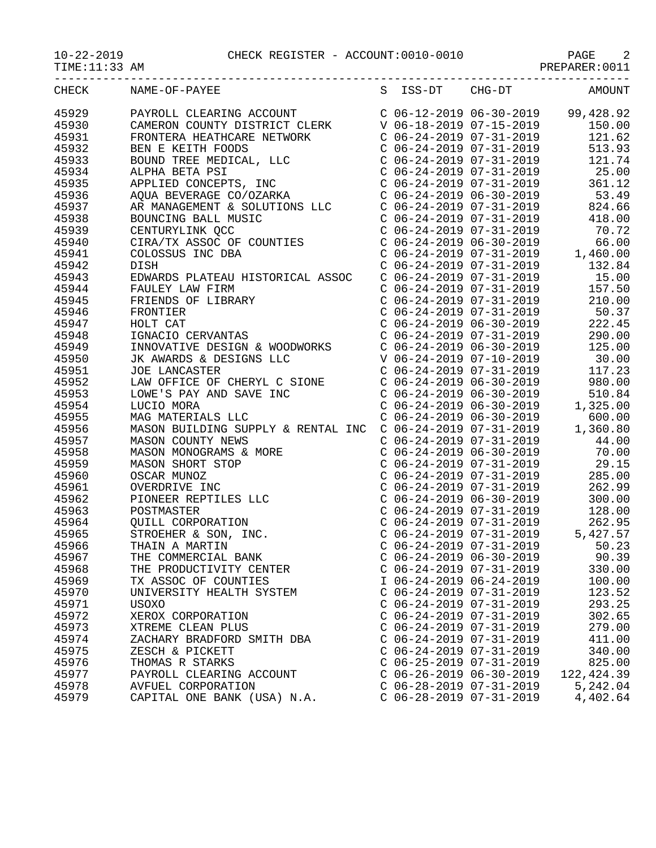10-22-2019 CHECK REGISTER - ACCOUNT:0010-0010 PAGE 2

| $0 - 22 - 2019$ |
|-----------------|
|-----------------|

TIME:11:33 AM PREPARER:0011

-----------------------------------------------------------------------------------

| CHECK | NAME-OF-PAYEE                                                                                                                                                                                                                                                                                                                                                                          | S ISS-DT                  | CHG-DT                                                                                    | AMOUNT                                                                                                                                                                                                                                             |
|-------|----------------------------------------------------------------------------------------------------------------------------------------------------------------------------------------------------------------------------------------------------------------------------------------------------------------------------------------------------------------------------------------|---------------------------|-------------------------------------------------------------------------------------------|----------------------------------------------------------------------------------------------------------------------------------------------------------------------------------------------------------------------------------------------------|
| 45929 | $\begin{tabular}{l c c c c c c c} \multicolumn{4}{c}{\textbf{PAYROLL}\ \textbf{CLERRING}\ \textbf{CCOUNTY}\ \textbf{DISTRICT}\ \textbf{CENTERA}\ \textbf{HERTCARE NETWOKR} & $\mathbf{C}~~06-12-2019$ & $06-30-2019$ & $99,428.92$ \\ \textbf{RONTERA HEATHCARE NETWOKR} & $\mathbf{C}~~06-18-2019$ & $07-15-2019$ & $150.00$ \\ \textbf{RONTERA HEATHCARE NETWOKR} & $\mathbf{C}~~06$ |                           |                                                                                           |                                                                                                                                                                                                                                                    |
| 45930 |                                                                                                                                                                                                                                                                                                                                                                                        |                           |                                                                                           |                                                                                                                                                                                                                                                    |
| 45931 |                                                                                                                                                                                                                                                                                                                                                                                        |                           |                                                                                           |                                                                                                                                                                                                                                                    |
| 45932 |                                                                                                                                                                                                                                                                                                                                                                                        |                           |                                                                                           |                                                                                                                                                                                                                                                    |
| 45933 |                                                                                                                                                                                                                                                                                                                                                                                        |                           |                                                                                           |                                                                                                                                                                                                                                                    |
| 45934 |                                                                                                                                                                                                                                                                                                                                                                                        |                           |                                                                                           |                                                                                                                                                                                                                                                    |
| 45935 |                                                                                                                                                                                                                                                                                                                                                                                        |                           |                                                                                           |                                                                                                                                                                                                                                                    |
| 45936 |                                                                                                                                                                                                                                                                                                                                                                                        |                           |                                                                                           |                                                                                                                                                                                                                                                    |
| 45937 |                                                                                                                                                                                                                                                                                                                                                                                        |                           |                                                                                           |                                                                                                                                                                                                                                                    |
| 45938 |                                                                                                                                                                                                                                                                                                                                                                                        |                           |                                                                                           |                                                                                                                                                                                                                                                    |
| 45939 |                                                                                                                                                                                                                                                                                                                                                                                        |                           |                                                                                           |                                                                                                                                                                                                                                                    |
| 45940 |                                                                                                                                                                                                                                                                                                                                                                                        |                           |                                                                                           |                                                                                                                                                                                                                                                    |
| 45941 | COLOSSUS INC DBA                                                                                                                                                                                                                                                                                                                                                                       |                           |                                                                                           | $C$ 06-24-2019 06-30-2019 66.00<br>$C$ 06-24-2019 07-31-2019 1,460.00                                                                                                                                                                              |
| 45942 | DISH                                                                                                                                                                                                                                                                                                                                                                                   |                           |                                                                                           | 132.84                                                                                                                                                                                                                                             |
| 45943 | EDWARDS PLATEAU HISTORICAL ASSOC                                                                                                                                                                                                                                                                                                                                                       |                           |                                                                                           | 15.00                                                                                                                                                                                                                                              |
| 45944 |                                                                                                                                                                                                                                                                                                                                                                                        |                           | C $06-24-2019$ $07-31-2019$<br>C $06-24-2019$ $07-31-2019$<br>C $06-24-2019$ $07-31-2019$ | 157.50                                                                                                                                                                                                                                             |
| 45945 |                                                                                                                                                                                                                                                                                                                                                                                        |                           |                                                                                           | $C$ 06-24-2019 07-31-2019 210.00                                                                                                                                                                                                                   |
| 45946 |                                                                                                                                                                                                                                                                                                                                                                                        |                           |                                                                                           | C $06-24-2019$ $07-31-2019$ 50.37                                                                                                                                                                                                                  |
| 45947 |                                                                                                                                                                                                                                                                                                                                                                                        |                           |                                                                                           |                                                                                                                                                                                                                                                    |
| 45948 |                                                                                                                                                                                                                                                                                                                                                                                        |                           |                                                                                           |                                                                                                                                                                                                                                                    |
| 45949 |                                                                                                                                                                                                                                                                                                                                                                                        |                           |                                                                                           | $\begin{array}{llll} \mbox{C} & 06-24-2019 & 06-30-2019 & & 222.45 \\ \mbox{C} & 06-24-2019 & 07-31-2019 & & 290.00 \\ \mbox{C} & 06-24-2019 & 06-30-2019 & & 125.00 \end{array}$                                                                  |
| 45950 | EDWARDS FLATEAU HISTORICAL ADDOC<br>FAULEY LAW FIRM<br>FRIENDS OF LIBRARY<br>HOLT CAT<br>IGNACIO CERVANTAS<br>INNOVATIVE DESIGN & WOODWORKS<br>JK AWARDS & DESIGNS LLC<br>JOE LANCASTER<br>CORRECT CONTROL                                                                                                                                                                             |                           |                                                                                           | V 06-24-2019 07-10-2019 30.00                                                                                                                                                                                                                      |
| 45951 |                                                                                                                                                                                                                                                                                                                                                                                        |                           | $C$ 06-24-2019 07-31-2019                                                                 | 117.23                                                                                                                                                                                                                                             |
| 45952 |                                                                                                                                                                                                                                                                                                                                                                                        |                           |                                                                                           | 980.00                                                                                                                                                                                                                                             |
| 45953 | LAW OFFICE OF CHERYL C SIONE                                                                                                                                                                                                                                                                                                                                                           |                           | $C$ 06-24-2019 06-30-2019                                                                 | 510.84                                                                                                                                                                                                                                             |
| 45954 |                                                                                                                                                                                                                                                                                                                                                                                        |                           |                                                                                           | 1,325.00                                                                                                                                                                                                                                           |
| 45955 |                                                                                                                                                                                                                                                                                                                                                                                        |                           |                                                                                           | 600.00                                                                                                                                                                                                                                             |
| 45956 | LOWE'S PAY AND SAVE INC<br>LUCIO MORA<br>LUCIO MORA<br>MAG MATERIALS LLC<br>MAGON BUILDING SUPPLY & RENTAL INC C 06-24-2019 06-30-2019<br>MASON BUILDING SUPPLY & RENTAL INC C 06-24-2019 07-31-2019<br>1,                                                                                                                                                                             |                           |                                                                                           | 1,360.80                                                                                                                                                                                                                                           |
| 45957 |                                                                                                                                                                                                                                                                                                                                                                                        |                           | $C$ 06-24-2019 07-31-2019                                                                 | 44.00                                                                                                                                                                                                                                              |
|       |                                                                                                                                                                                                                                                                                                                                                                                        |                           |                                                                                           |                                                                                                                                                                                                                                                    |
| 45958 |                                                                                                                                                                                                                                                                                                                                                                                        |                           | C 06-24-2019 06-30-2019<br>C 06-24-2019 07-31-2019                                        | 70.00<br>29.15                                                                                                                                                                                                                                     |
| 45959 |                                                                                                                                                                                                                                                                                                                                                                                        |                           |                                                                                           | $C$ 06-24-2019 07-31-2019 285.00                                                                                                                                                                                                                   |
| 45960 |                                                                                                                                                                                                                                                                                                                                                                                        |                           |                                                                                           |                                                                                                                                                                                                                                                    |
| 45961 |                                                                                                                                                                                                                                                                                                                                                                                        |                           | $C$ 06-24-2019 07-31-2019                                                                 | 262.99                                                                                                                                                                                                                                             |
| 45962 |                                                                                                                                                                                                                                                                                                                                                                                        |                           | $C$ 06-24-2019 06-30-2019                                                                 | 300.00                                                                                                                                                                                                                                             |
| 45963 |                                                                                                                                                                                                                                                                                                                                                                                        |                           |                                                                                           |                                                                                                                                                                                                                                                    |
| 45964 |                                                                                                                                                                                                                                                                                                                                                                                        |                           |                                                                                           |                                                                                                                                                                                                                                                    |
| 45965 | MASON BUILDING SOPPLI & RENIAL INC<br>MASON COUNTY NEWS<br>MASON MONOGRAMS & MORE<br>MASON SHORT STOP<br>OSCAR MUNOZ<br>OVERDRIVE INC<br>PIONEER REPTILES LLC<br>POSTMASTER<br>QUILL CORPORATION<br>STROEHER & SON, INC.<br>THAIN A MARTIN<br>THE COMMERCIAL BA                                                                                                                        |                           |                                                                                           | $\begin{tabular}{lllllllll} $\text{C} & 06-24-2019 & 07-31-2019 & & 128.00 \\ $\text{C} & 06-24-2019 & 07-31-2019 & & 262.95 \\ $\text{C} & 06-24-2019 & 07-31-2019 & & 5\,,427.57 \\ $\text{C} & 06-24-2019 & 07-31-2019 & & 50.23 \end{tabular}$ |
| 45966 |                                                                                                                                                                                                                                                                                                                                                                                        |                           |                                                                                           |                                                                                                                                                                                                                                                    |
| 45967 |                                                                                                                                                                                                                                                                                                                                                                                        |                           | $C$ 06-24-2019 06-30-2019                                                                 | 90.39                                                                                                                                                                                                                                              |
| 45968 | THE PRODUCTIVITY CENTER                                                                                                                                                                                                                                                                                                                                                                |                           | $C$ 06-24-2019 07-31-2019                                                                 | 330.00                                                                                                                                                                                                                                             |
| 45969 | TX ASSOC OF COUNTIES                                                                                                                                                                                                                                                                                                                                                                   | I 06-24-2019 06-24-2019   |                                                                                           | 100.00                                                                                                                                                                                                                                             |
| 45970 | UNIVERSITY HEALTH SYSTEM                                                                                                                                                                                                                                                                                                                                                               | $C$ 06-24-2019 07-31-2019 |                                                                                           | 123.52                                                                                                                                                                                                                                             |
| 45971 | USOXO                                                                                                                                                                                                                                                                                                                                                                                  | $C$ 06-24-2019 07-31-2019 |                                                                                           | 293.25                                                                                                                                                                                                                                             |
| 45972 | XEROX CORPORATION                                                                                                                                                                                                                                                                                                                                                                      | $C$ 06-24-2019 07-31-2019 |                                                                                           | 302.65                                                                                                                                                                                                                                             |
| 45973 | XTREME CLEAN PLUS                                                                                                                                                                                                                                                                                                                                                                      | $C$ 06-24-2019 07-31-2019 |                                                                                           | 279.00                                                                                                                                                                                                                                             |
| 45974 | ZACHARY BRADFORD SMITH DBA                                                                                                                                                                                                                                                                                                                                                             | $C$ 06-24-2019 07-31-2019 |                                                                                           | 411.00                                                                                                                                                                                                                                             |
| 45975 | ZESCH & PICKETT                                                                                                                                                                                                                                                                                                                                                                        | $C$ 06-24-2019 07-31-2019 |                                                                                           | 340.00                                                                                                                                                                                                                                             |
| 45976 | THOMAS R STARKS                                                                                                                                                                                                                                                                                                                                                                        | $C$ 06-25-2019 07-31-2019 |                                                                                           | 825.00                                                                                                                                                                                                                                             |
| 45977 | PAYROLL CLEARING ACCOUNT                                                                                                                                                                                                                                                                                                                                                               | $C$ 06-26-2019 06-30-2019 |                                                                                           | 122,424.39                                                                                                                                                                                                                                         |
| 45978 | AVFUEL CORPORATION                                                                                                                                                                                                                                                                                                                                                                     | $C$ 06-28-2019 07-31-2019 |                                                                                           | 5,242.04                                                                                                                                                                                                                                           |
| 45979 | CAPITAL ONE BANK (USA) N.A.                                                                                                                                                                                                                                                                                                                                                            | $C$ 06-28-2019 07-31-2019 |                                                                                           | 4,402.64                                                                                                                                                                                                                                           |